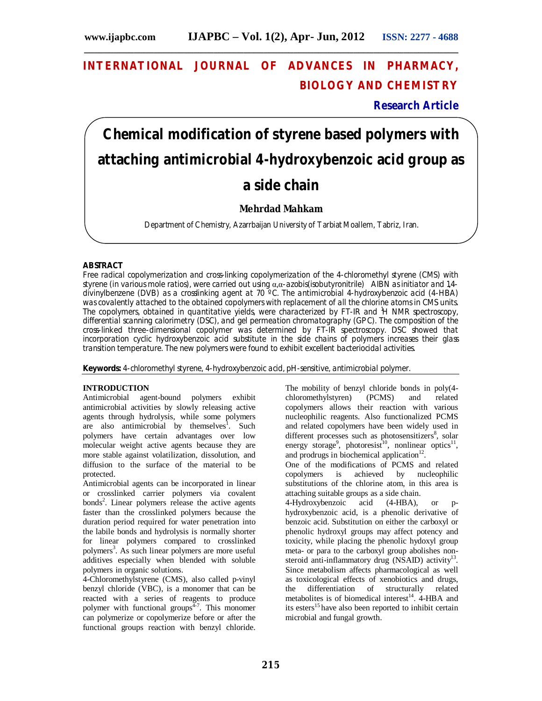# **INTERNATIONAL JOURNAL OF ADVANCES IN PHARMACY, BIOLOGY AND CHEMISTRY**

**\_\_\_\_\_\_\_\_\_\_\_\_\_\_\_\_\_\_\_\_\_\_\_\_\_\_\_\_\_\_\_\_\_\_\_\_\_\_\_\_\_\_\_\_\_\_\_\_\_\_\_\_\_\_\_\_\_\_\_\_\_\_\_\_\_\_\_\_\_\_\_\_\_\_\_**

**Research Article**

# **Chemical modification of styrene based polymers with attaching antimicrobial 4-hydroxybenzoic acid group as a side chain**

# **Mehrdad Mahkam**

Department of Chemistry, Azarrbaijan University of Tarbiat Moallem, Tabriz, Iran.

# **ABSTRACT**

Free radical copolymerization and cross-linking copolymerization of the 4-chloromethyl styrene (CMS) with styrene (in various mole ratios), were carried out using α,α-azobis(isobutyronitrile) AIBN as initiator and 1,4 divinylbenzene (DVB) as a crosslinking agent at 70 ºC. The antimicrobial 4-hydroxybenzoic acid (4-HBA) was covalently attached to the obtained copolymers with replacement of all the chlorine atoms in CMS units. The copolymers, obtained in quantitative yields, were characterized by FT-IR and <sup>1</sup>H NMR spectroscopy, differential scanning calorimetry (DSC), and gel permeation chromatography (GPC). The composition of the cross-linked three-dimensional copolymer was determined by FT-IR spectroscopy. DSC showed that incorporation cyclic hydroxybenzoic acid substitute in the side chains of polymers increases their glass transition temperature. The new polymers were found to exhibit excellent bacteriocidal activities.

**Keywords:** 4-chloromethyl styrene, 4-hydroxybenzoic acid, pH-sensitive, antimicrobial polymer.

# **INTRODUCTION**

Antimicrobial agent-bound polymers exhibit antimicrobial activities by slowly releasing active agents through hydrolysis, while some polymers are also antimicrobial by themselves<sup>1</sup>. Such polymers have certain advantages over low molecular weight active agents because they are more stable against volatilization, dissolution, and diffusion to the surface of the material to be protected.

Antimicrobial agents can be incorporated in linear or crosslinked carrier polymers via covalent bonds<sup>2</sup>. Linear polymers release the active agents faster than the crosslinked polymers because the duration period required for water penetration into the labile bonds and hydrolysis is normally shorter for linear polymers compared to crosslinked polymers<sup>3</sup>. As such linear polymers are more useful additives especially when blended with soluble polymers in organic solutions.

4-Chloromethylstyrene (CMS), also called p-vinyl benzyl chloride (VBC), is a monomer that can be reacted with a series of reagents to produce polymer with functional groups $\frac{1}{2}$ . This monomer can polymerize or copolymerize before or after the functional groups reaction with benzyl chloride.

The mobility of benzyl chloride bonds in poly(4 chloromethylstyren) (PCMS) and related copolymers allows their reaction with various nucleophilic reagents. Also functionalized PCMS and related copolymers have been widely used in different processes such as photosensitizers<sup>8</sup>, solar energy storage<sup>9</sup>, photoresist<sup>10</sup>, nonlinear optics<sup>11</sup>, and prodrugs in biochemical application $12$ .

One of the modifications of PCMS and related copolymers is achieved by nucleophilic substitutions of the chlorine atom, in this area is attaching suitable groups as a side chain.<br>4-Hydroxybenzoic acid (4-HBA).

4-Hydroxybenzoic acid (4-HBA), or phydroxybenzoic acid, is a phenolic derivative of benzoic acid. Substitution on either the carboxyl or phenolic hydroxyl groups may affect potency and toxicity, while placing the phenolic hydoxyl group meta- or para to the carboxyl group abolishes nonsteroid anti-inflammatory drug (NSAID) activity<sup>13</sup>. Since metabolism affects pharmacological as well as toxicological effects of xenobiotics and drugs, the differentiation of structurally related metabolites is of biomedical interest<sup>14</sup>. 4-HBA and its esters<sup>15</sup> have also been reported to inhibit certain microbial and fungal growth.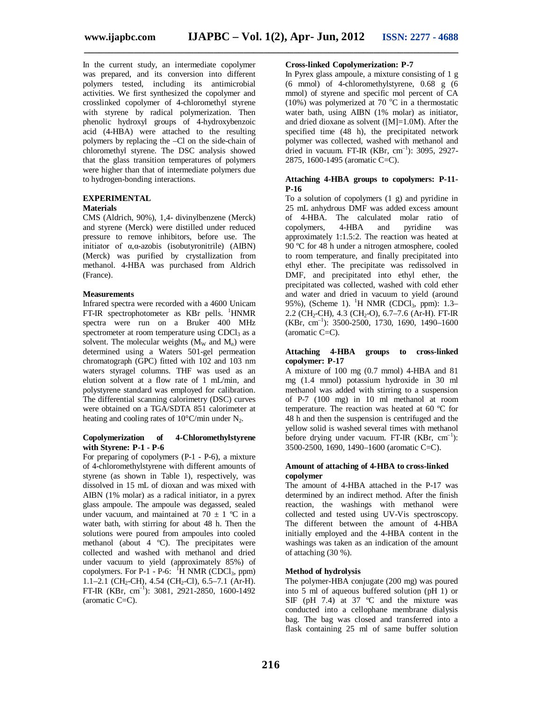In the current study, an intermediate copolymer was prepared, and its conversion into different polymers tested, including its antimicrobial activities. We first synthesized the copolymer and crosslinked copolymer of 4-chloromethyl styrene with styrene by radical polymerization. Then phenolic hydroxyl groups of 4-hydroxybenzoic acid (4-HBA) were attached to the resulting polymers by replacing the –Cl on the side-chain of chloromethyl styrene. The DSC analysis showed that the glass transition temperatures of polymers were higher than that of intermediate polymers due to hydrogen-bonding interactions.

# **EXPERIMENTAL**

# **Materials**

CMS (Aldrich, 90%), 1,4- divinylbenzene (Merck) and styrene (Merck) were distilled under reduced pressure to remove inhibitors, before use. The initiator of α,α-azobis (isobutyronitrile) (AIBN) (Merck) was purified by crystallization from methanol. 4-HBA was purchased from Aldrich (France).

# **Measurements**

Infrared spectra were recorded with a 4600 Unicam FT-IR spectrophotometer as  $KBr$  pells. <sup>1</sup>HNMR spectra were run on a Bruker 400 MHz spectrometer at room temperature using  $CDCl<sub>3</sub>$  as a solvent. The molecular weights  $(M_w \text{ and } M_n)$  were determined using a Waters 501-gel permeation chromatograph (GPC) fitted with 102 and 103 nm waters styragel columns. THF was used as an elution solvent at a flow rate of 1 mL/min, and polystyrene standard was employed for calibration. The differential scanning calorimetry (DSC) curves were obtained on a TGA/SDTA 851 calorimeter at heating and cooling rates of  $10^{\circ}$ C/min under N<sub>2</sub>.

#### **Copolymerization of 4-Chloromethylstyrene with Styrene: P-1 - P-6**

For preparing of copolymers (P-1 - P-6), a mixture of 4-chloromethylstyrene with different amounts of styrene (as shown in Table 1), respectively, was dissolved in 15 mL of dioxan and was mixed with AIBN (1% molar) as a radical initiator, in a pyrex glass ampoule. The ampoule was degassed, sealed under vacuum, and maintained at  $70 \pm 1$  °C in a water bath, with stirring for about 48 h. Then the solutions were poured from ampoules into cooled methanol (about 4 ºC). The precipitates were collected and washed with methanol and dried under vacuum to yield (approximately 85%) of copolymers. For P-1 - P-6:  $H$  NMR (CDCl<sub>3</sub>, ppm) 1.1–2.1 (CH<sub>2</sub>-CH), 4.54 (CH<sub>2</sub>-Cl), 6.5–7.1 (Ar-H). FT-IR (KBr, cm–1 ): 3081, 2921-2850, 1600-1492  $\alpha$  (aromatic C=C).

# **Cross-linked Copolymerization: P-7**

In Pyrex glass ampoule, a mixture consisting of 1 g (6 mmol) of 4-chloromethylstyrene, 0.68 g (6 mmol) of styrene and specific mol percent of CA (10%) was polymerized at 70  $^{\circ}$ C in a thermostatic water bath, using AIBN (1% molar) as initiator, and dried dioxane as solvent ([M]=1.0M). After the specified time (48 h), the precipitated network polymer was collected, washed with methanol and dried in vacuum. FT-IR (KBr, cm<sup>-1</sup>): 3095, 2927-2875, 1600-1495 (aromatic C=C).

# **Attaching 4-HBA groups to copolymers: P-11- P-16**

To a solution of copolymers (1 g) and pyridine in 25 mL anhydrous DMF was added excess amount of 4-HBA. The calculated molar ratio of copolymers, 4-HBA and pyridine was approximately 1:1.5:2. The reaction was heated at 90 ºC for 48 h under a nitrogen atmosphere, cooled to room temperature, and finally precipitated into ethyl ether. The precipitate was redissolved in DMF, and precipitated into ethyl ether, the precipitated was collected, washed with cold ether and water and dried in vacuum to yield (around 95%), (Scheme 1). <sup>1</sup>H NMR (CDCl<sub>3</sub>, ppm): 1.3–  $2.2$  (CH<sub>2</sub>-CH),  $4.3$  (CH<sub>2</sub>-O),  $6.7-7.6$  (Ar-H). FT-IR (KBr, cm–1 ): 3500-2500, 1730, 1690, 1490–1600 (aromatic C=C).

## **Attaching 4-HBA groups to cross-linked copolymer: P-17**

A mixture of 100 mg (0.7 mmol) 4-HBA and 81 mg (1.4 mmol) potassium hydroxide in 30 ml methanol was added with stirring to a suspension of P-7 (100 mg) in 10 ml methanol at room temperature. The reaction was heated at 60 ºC for 48 h and then the suspension is centrifuged and the yellow solid is washed several times with methanol before drying under vacuum. FT-IR  $(KBr, cm^{-1})$ : 3500-2500, 1690, 1490–1600 (aromatic C=C).

#### **Amount of attaching of 4-HBA to cross-linked copolymer**

The amount of 4-HBA attached in the P-17 was determined by an indirect method. After the finish reaction, the washings with methanol were collected and tested using UV-Vis spectroscopy. The different between the amount of 4-HBA initially employed and the 4-HBA content in the washings was taken as an indication of the amount of attaching (30 %).

# **Method of hydrolysis**

The polymer-HBA conjugate (200 mg) was poured into 5 ml of aqueous buffered solution (pH 1) or SIF (pH 7.4) at 37  $^{\circ}$ C and the mixture was conducted into a cellophane membrane dialysis bag. The bag was closed and transferred into a flask containing 25 ml of same buffer solution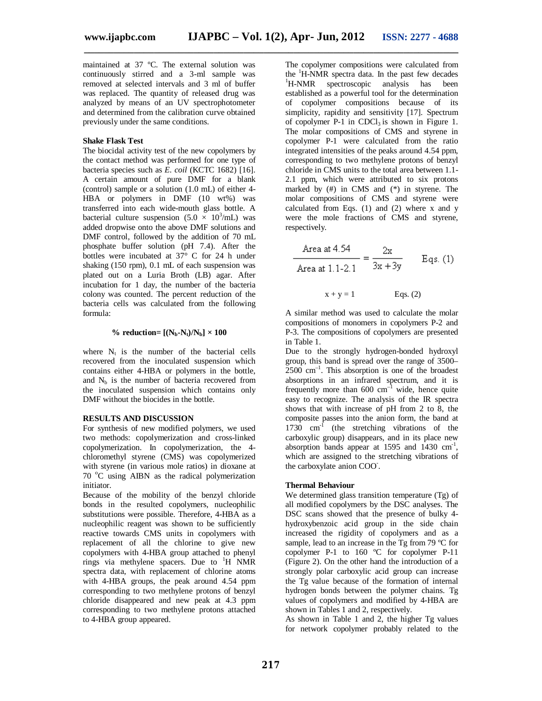maintained at 37 ºC. The external solution was continuously stirred and a 3-ml sample was removed at selected intervals and 3 ml of buffer was replaced. The quantity of released drug was analyzed by means of an UV spectrophotometer and determined from the calibration curve obtained previously under the same conditions.

# **Shake Flask Test**

The biocidal activity test of the new copolymers by the contact method was performed for one type of bacteria species such as *E. coil* (KCTC 1682) [16]. A certain amount of pure DMF for a blank (control) sample or a solution (1.0 mL) of either 4- HBA or polymers in DMF (10 wt%) was transferred into each wide-mouth glass bottle. A bacterial culture suspension  $(5.0 \times 10^3/\text{mL})$  was added dropwise onto the above DMF solutions and DMF control, followed by the addition of 70 mL phosphate buffer solution (pH 7.4). After the bottles were incubated at  $37^{\circ}$  C for 24 h under shaking (150 rpm), 0.1 mL of each suspension was plated out on a Luria Broth (LB) agar. After incubation for 1 day, the number of the bacteria colony was counted. The percent reduction of the bacteria cells was calculated from the following formula:

# % reduction=  $[(N_b-N_t)/N_b] \times 100$

where  $N_t$  is the number of the bacterial cells recovered from the inoculated suspension which contains either 4-HBA or polymers in the bottle, and  $N_b$  is the number of bacteria recovered from the inoculated suspension which contains only DMF without the biocides in the bottle.

# **RESULTS AND DISCUSSION**

For synthesis of new modified polymers, we used two methods: copolymerization and cross-linked copolymerization. In copolymerization, the 4 chloromethyl styrene (CMS) was copolymerized with styrene (in various mole ratios) in dioxane at  $70^\circ$ C using AIBN as the radical polymerization initiator.

Because of the mobility of the benzyl chloride bonds in the resulted copolymers, nucleophilic substitutions were possible. Therefore, 4-HBA as a nucleophilic reagent was shown to be sufficiently reactive towards CMS units in copolymers with replacement of all the chlorine to give new copolymers with 4-HBA group attached to phenyl rings via methylene spacers. Due to <sup>1</sup>H NMR spectra data, with replacement of chlorine atoms with 4-HBA groups, the peak around 4.54 ppm corresponding to two methylene protons of benzyl chloride disappeared and new peak at 4.3 ppm corresponding to two methylene protons attached to 4-HBA group appeared.

The copolymer compositions were calculated from the <sup>1</sup>H-NMR spectra data. In the past few decades <sup>1</sup>H-NMR spectroscopic analysis has been established as a powerful tool for the determination of copolymer compositions because of its simplicity, rapidity and sensitivity [17]. Spectrum of copolymer  $P-1$  in CDCl<sub>3</sub> is shown in Figure 1. The molar compositions of CMS and styrene in copolymer P-1 were calculated from the ratio integrated intensities of the peaks around 4.54 ppm, corresponding to two methylene protons of benzyl chloride in CMS units to the total area between 1.1- 2.1 ppm, which were attributed to six protons marked by (#) in CMS and (\*) in styrene. The molar compositions of CMS and styrene were calculated from Eqs.  $(1)$  and  $(2)$  where x and y were the mole fractions of CMS and styrene, respectively.

$$
\frac{\text{Area at 4.54}}{\text{Area at 1.1-2.1}} = \frac{2x}{3x + 3y} \qquad \text{Eqs. (1)}
$$

 $x + y = 1$  Eqs. (2)

A similar method was used to calculate the molar compositions of monomers in copolymers P-2 and P-3. The compositions of copolymers are presented in Table 1.

Due to the strongly hydrogen-bonded hydroxyl group, this band is spread over the range of 3500–  $2500$  cm<sup>-1</sup>. This absorption is one of the broadest absorptions in an infrared spectrum, and it is frequently more than  $600 \text{ cm}^{-1}$  wide, hence quite easy to recognize. The analysis of the IR spectra shows that with increase of pH from 2 to 8, the composite passes into the anion form, the band at 1730 cm<sup>-1</sup> (the stretching vibrations of the carboxylic group) disappears, and in its place new absorption bands appear at 1595 and  $1430 \text{ cm}^1$ , which are assigned to the stretching vibrations of the carboxylate anion COO- .

# **Thermal Behaviour**

We determined glass transition temperature (Tg) of all modified copolymers by the DSC analyses. The DSC scans showed that the presence of bulky 4 hydroxybenzoic acid group in the side chain increased the rigidity of copolymers and as a sample, lead to an increase in the Tg from 79 °C for copolymer P-1 to 160 ºC for copolymer P-11 (Figure 2). On the other hand the introduction of a strongly polar carboxylic acid group can increase the Tg value because of the formation of internal hydrogen bonds between the polymer chains. Tg values of copolymers and modified by 4-HBA are shown in Tables 1 and 2, respectively.

As shown in Table 1 and 2, the higher Tg values for network copolymer probably related to the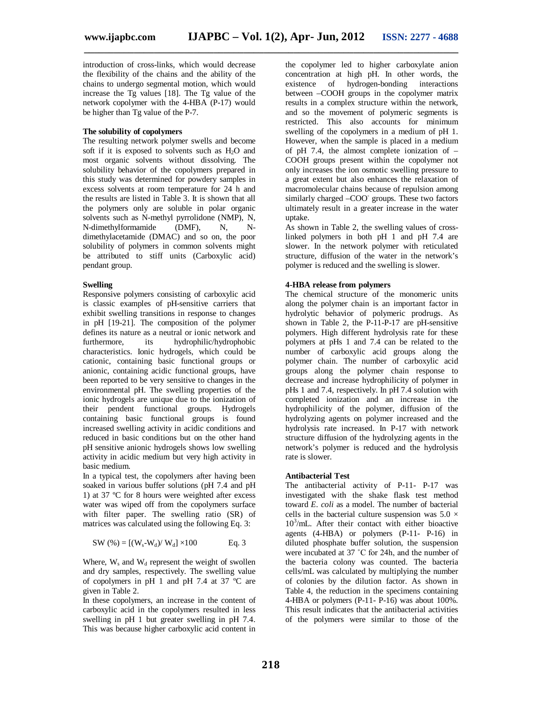introduction of cross-links, which would decrease the flexibility of the chains and the ability of the chains to undergo segmental motion, which would increase the Tg values [18]. The Tg value of the network copolymer with the 4-HBA (P-17) would be higher than Tg value of the P-7.

# **The solubility of copolymers**

The resulting network polymer swells and become soft if it is exposed to solvents such as  $H_2O$  and most organic solvents without dissolving. The solubility behavior of the copolymers prepared in this study was determined for powdery samples in excess solvents at room temperature for 24 h and the results are listed in Table 3. It is shown that all the polymers only are soluble in polar organic solvents such as N-methyl pyrrolidone (NMP), N, N-dimethylformamide (DMF), N, Ndimethylacetamide (DMAC) and so on, the poor solubility of polymers in common solvents might be attributed to stiff units (Carboxylic acid) pendant group.

#### **Swelling**

Responsive polymers consisting of carboxylic acid is classic examples of pH-sensitive carriers that exhibit swelling transitions in response to changes in pH [19-21]. The composition of the polymer defines its nature as a neutral or ionic network and furthermore, its hydrophilic/hydrophobic characteristics. Ionic hydrogels, which could be cationic, containing basic functional groups or anionic, containing acidic functional groups, have been reported to be very sensitive to changes in the environmental pH. The swelling properties of the ionic hydrogels are unique due to the ionization of their pendent functional groups. Hydrogels containing basic functional groups is found increased swelling activity in acidic conditions and reduced in basic conditions but on the other hand pH sensitive anionic hydrogels shows low swelling activity in acidic medium but very high activity in basic medium.

In a typical test, the copolymers after having been soaked in various buffer solutions (pH 7.4 and pH 1) at 37 ºC for 8 hours were weighted after excess water was wiped off from the copolymers surface with filter paper. The swelling ratio (SR) of matrices was calculated using the following Eq. 3:

SW (
$$
\% = [(W_s-W_d)/W_d] \times 100
$$
 Eq. 3

Where,  $W_s$  and  $W_d$  represent the weight of swollen and dry samples, respectively. The swelling value of copolymers in pH 1 and pH 7.4 at 37 ºC are given in Table 2.

In these copolymers, an increase in the content of carboxylic acid in the copolymers resulted in less swelling in pH 1 but greater swelling in pH 7.4. This was because higher carboxylic acid content in

the copolymer led to higher carboxylate anion concentration at high pH. In other words, the existence of hydrogen-bonding interactions between –COOH groups in the copolymer matrix results in a complex structure within the network, and so the movement of polymeric segments is restricted. This also accounts for minimum swelling of the copolymers in a medium of pH 1. However, when the sample is placed in a medium of pH 7.4, the almost complete ionization of – COOH groups present within the copolymer not only increases the ion osmotic swelling pressure to a great extent but also enhances the relaxation of macromolecular chains because of repulsion among similarly charged -COO groups. These two factors ultimately result in a greater increase in the water uptake.

As shown in Table 2, the swelling values of crosslinked polymers in both pH 1 and pH 7.4 are slower. In the network polymer with reticulated structure, diffusion of the water in the network's polymer is reduced and the swelling is slower.

#### **4-HBA release from polymers**

The chemical structure of the monomeric units along the polymer chain is an important factor in hydrolytic behavior of polymeric prodrugs. As shown in Table 2, the P-11-P-17 are pH-sensitive polymers. High different hydrolysis rate for these polymers at pHs 1 and 7.4 can be related to the number of carboxylic acid groups along the polymer chain. The number of carboxylic acid groups along the polymer chain response to decrease and increase hydrophilicity of polymer in pHs 1 and 7.4, respectively. In pH 7.4 solution with completed ionization and an increase in the hydrophilicity of the polymer, diffusion of the hydrolyzing agents on polymer increased and the hydrolysis rate increased. In P-17 with network structure diffusion of the hydrolyzing agents in the network's polymer is reduced and the hydrolysis rate is slower.

#### **Antibacterial Test**

The antibacterial activity of P-11- P-17 was investigated with the shake flask test method toward *E. coli* as a model. The number of bacterial cells in the bacterial culture suspension was  $5.0 \times$ 10<sup>3</sup> /mL. After their contact with either bioactive agents (4-HBA) or polymers (P-11- P-16) in diluted phosphate buffer solution, the suspension were incubated at 37 ˚C for 24h, and the number of the bacteria colony was counted. The bacteria cells/mL was calculated by multiplying the number of colonies by the dilution factor. As shown in Table 4, the reduction in the specimens containing 4-HBA or polymers (P-11- P-16) was about 100%. This result indicates that the antibacterial activities of the polymers were similar to those of the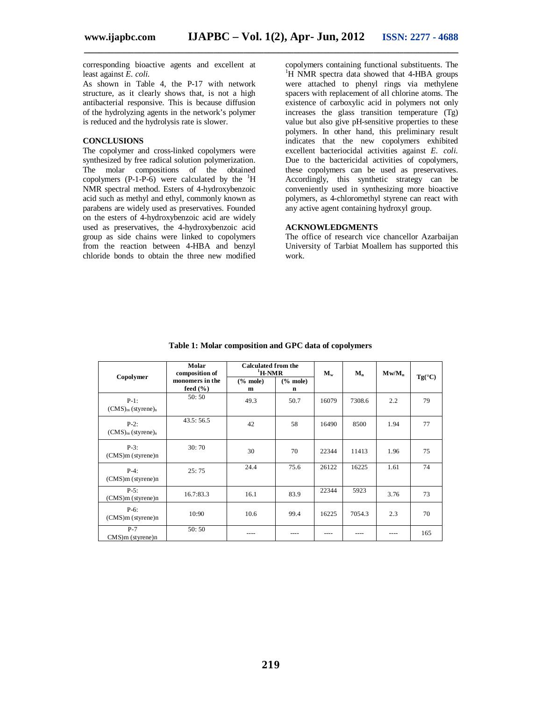corresponding bioactive agents and excellent at least against *E. coli.*

As shown in Table 4, the P-17 with network structure, as it clearly shows that, is not a high antibacterial responsive. This is because diffusion of the hydrolyzing agents in the network's polymer is reduced and the hydrolysis rate is slower.

# **CONCLUSIONS**

The copolymer and cross-linked copolymers were synthesized by free radical solution polymerization. The molar compositions of the obtained copolymers  $(P-1-P-6)$  were calculated by the  ${}^{1}H$ NMR spectral method. Esters of 4-hydroxybenzoic acid such as methyl and ethyl, commonly known as parabens are widely used as preservatives. Founded on the esters of 4-hydroxybenzoic acid are widely used as preservatives, the 4-hydroxybenzoic acid group as side chains were linked to copolymers from the reaction between 4-HBA and benzyl chloride bonds to obtain the three new modified

copolymers containing functional substituents. The <sup>1</sup>H NMR spectra data showed that 4-HBA groups were attached to phenyl rings via methylene spacers with replacement of all chlorine atoms. The existence of carboxylic acid in polymers not only increases the glass transition temperature (Tg) value but also give pH-sensitive properties to these polymers. In other hand, this preliminary result indicates that the new copolymers exhibited excellent bacteriocidal activities against *E. coli.* Due to the bactericidal activities of copolymers, these copolymers can be used as preservatives. Accordingly, this synthetic strategy can be conveniently used in synthesizing more bioactive polymers, as 4-chloromethyl styrene can react with any active agent containing hydroxyl group.

# **ACKNOWLEDGMENTS**

The office of research vice chancellor Azarbaijan University of Tarbiat Moallem has supported this work.

|                                               | Molar<br>composition of         | <b>Calculated from the</b><br>$\mathrm{^{1}H}\text{-}NMR$ | $M_{w}$                  | $M_n$ | Mw/M <sub>n</sub> |      |                 |
|-----------------------------------------------|---------------------------------|-----------------------------------------------------------|--------------------------|-------|-------------------|------|-----------------|
| Copolymer                                     | monomers in the<br>feed $(\% )$ | $%$ mole)<br>m                                            | $%$ mole)<br>$\mathbf n$ |       |                   |      | $Tg(^{\circ}C)$ |
| $P-1$ :<br>$(CMS)m$ (styrene) <sub>n</sub>    | 50:50                           | 49.3                                                      | 50.7                     | 16079 | 7308.6            | 2.2  | 79              |
| $P-2$ :<br>$(CMS)_{m}$ (styrene) <sub>n</sub> | 43.5:56.5                       | 42                                                        | 58                       | 16490 | 8500              | 1.94 | 77              |
| $P-3:$<br>$(CMS)m$ (styrene)n                 | 30:70                           | 30                                                        | 70                       | 22344 | 11413             | 1.96 | 75              |
| $P-4$ :<br>$(CMS)m$ (styrene)n                | 25:75                           | 24.4                                                      | 75.6                     | 26122 | 16225             | 1.61 | 74              |
| $P-5$ :<br>$(CMS)m$ (styrene)n                | 16.7:83.3                       | 16.1                                                      | 83.9                     | 22344 | 5923              | 3.76 | 73              |
| $P-6$ :<br>$(CMS)m$ (styrene)n                | 10:90                           | 10.6                                                      | 99.4                     | 16225 | 7054.3            | 2.3  | 70              |
| $P-7$<br>$CMS$ ) m (styrene) n                | 50:50                           |                                                           |                          |       |                   |      | 165             |

**Table 1: Molar composition and GPC data of copolymers**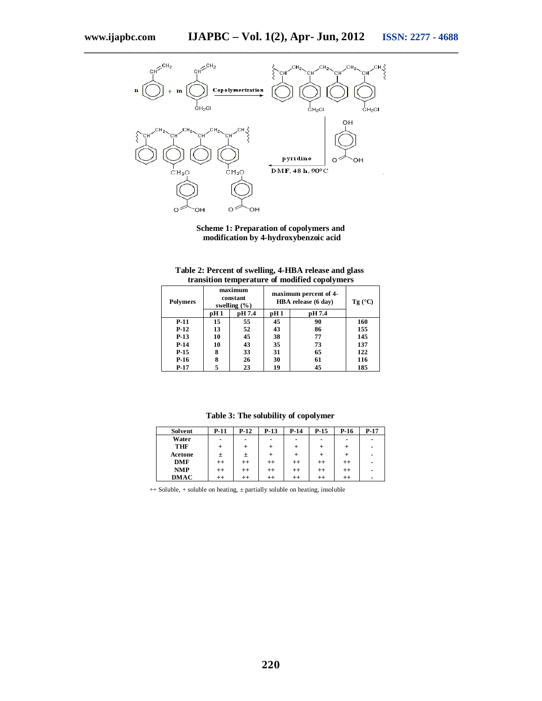

**Scheme 1: Preparation of copolymers and modification by 4-hydroxybenzoic acid**

|         | Table 2: Percent of swelling, 4-HBA release and glass<br>transition temperature of modified copolymers |  |
|---------|--------------------------------------------------------------------------------------------------------|--|
| maximum | and a statement of a statement of Port                                                                 |  |

| <b>Polymers</b> |                 | maximum<br>constant<br>swelling $(\% )$ |      | maximum percent of 4-<br>HBA release (6 day) |     |  |
|-----------------|-----------------|-----------------------------------------|------|----------------------------------------------|-----|--|
|                 | pH <sub>1</sub> | pH 7.4                                  | pH 1 | pH 7.4                                       |     |  |
| $P-11$          | 15              | 55                                      | 45   | 90                                           | 160 |  |
| $P-12$          | 13              | 52                                      | 43   | 86                                           | 155 |  |
| $P-13$          | 10              | 45                                      | 38   | 77                                           | 145 |  |
| $P-14$          | 10              | 43                                      | 35   | 73                                           | 137 |  |
| $P-15$          | 8               | 33                                      | 31   | 65                                           | 122 |  |
| $P-16$          | 8               | 26                                      | 30   | 61                                           | 116 |  |
| $P-17$          |                 | 23                                      | 19   | 45                                           | 185 |  |

| Solvent    | <b>P-11</b> | $P-12$         | $P-13$    | $P-14$         | $P-15$          | P-16    | $P-17$ |
|------------|-------------|----------------|-----------|----------------|-----------------|---------|--------|
| Water      | ٠           | $\blacksquare$ | ٠         | $\blacksquare$ | ٠               |         | ۰      |
| THF        | $\,{}^+$    |                | $\ddot{}$ | $\ddot{}$      | $^{\mathrm{+}}$ |         | -      |
| Acetone    | 土           | 土              |           | ÷              | +               |         | -      |
| DMF        | $^{++}$     | $^{++}$        | $^{++}$   | $^{++}$        | $^{++}$         | $^{++}$ | ۰      |
| <b>NMP</b> | $^{++}$     | $^{++}$        |           | $^{++}$        | $^{++}$         |         | -      |

**++**

**++**

**++**

**++**

**-**

**Table 3: The solubility of copolymer**

++ Soluble, + soluble on heating, ± partially soluble on heating, insoluble **++**

**++**

**DMAC**

ř.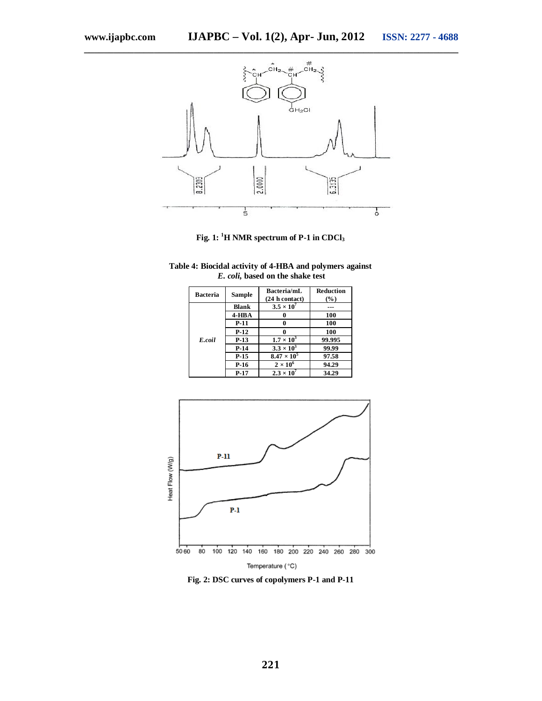

**Fig. 1: <sup>1</sup>H NMR spectrum of P-1 in CDCl<sup>3</sup>**

| Table 4: Biocidal activity of 4-HBA and polymers against |  |
|----------------------------------------------------------|--|
| <i>E. coli</i> , based on the shake test                 |  |

| <b>Bacteria</b> | <b>Sample</b> | Bacteria/mL<br>$(24 h \text{ contact})$ | <b>Reduction</b><br>$(\%)$ |
|-----------------|---------------|-----------------------------------------|----------------------------|
|                 | <b>Blank</b>  | $3.5 \times 10^{7}$                     | ---                        |
| E.coil          | $4 - HBA$     | 0                                       | 100                        |
|                 | <b>P-11</b>   | 0                                       | 100                        |
|                 | $P-12$        | 0                                       | 100                        |
|                 | $P-13$        | $1.7 \times 10^3$                       | 99.995                     |
|                 | $P-14$        | $3.3 \times 10^{3}$                     | 99.99                      |
|                 | $P-15$        | $8.47 \times 10^{5}$                    | 97.58                      |
|                 | P-16          | $2 \times 10^6$                         | 94.29                      |
|                 | $P-17$        | $2.3 \times 10^7$                       | 34.29                      |



**Fig. 2: DSC curves of copolymers P-1 and P-11**